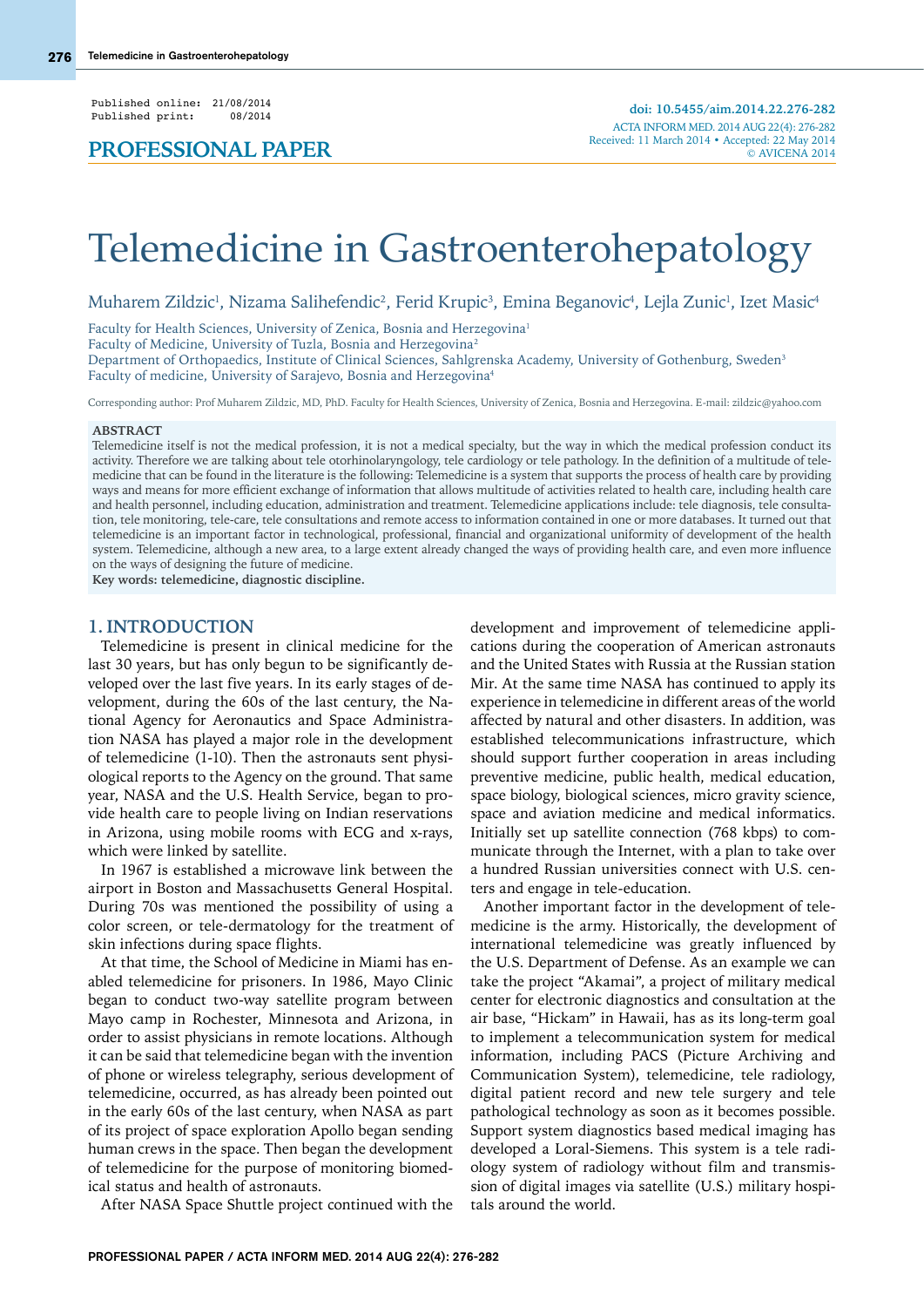Published online: 21/08/2014<br>Published print: 08/2014 Published print:

# Telemedicine in Gastroenterohepatology

Muharem Zildzic<sup>ı</sup>, Nizama Salihefendic<sup>2</sup>, Ferid Krupic<sup>3</sup>, Emina Beganovic<sup>4</sup>, Lejla Zunic<sup>ı</sup>, Izet Masic<sup>4</sup>

Faculty for Health Sciences, University of Zenica, Bosnia and Herzegovina<sup>1</sup>

Faculty of Medicine, University of Tuzla, Bosnia and Herzegovina2

Department of Orthopaedics, Institute of Clinical Sciences, Sahlgrenska Academy, University of Gothenburg, Sweden<sup>3</sup> Faculty of medicine, University of Sarajevo, Bosnia and Herzegovina4

Corresponding author: Prof Muharem Zildzic, MD, PhD. Faculty for Health Sciences, University of Zenica, Bosnia and Herzegovina. E-mail: zildzic@yahoo.com

#### **ABSTRACT**

Telemedicine itself is not the medical profession, it is not a medical specialty, but the way in which the medical profession conduct its activity. Therefore we are talking about tele otorhinolaryngology, tele cardiology or tele pathology. In the definition of a multitude of telemedicine that can be found in the literature is the following: Telemedicine is a system that supports the process of health care by providing ways and means for more efficient exchange of information that allows multitude of activities related to health care, including health care and health personnel, including education, administration and treatment. Telemedicine applications include: tele diagnosis, tele consultation, tele monitoring, tele-care, tele consultations and remote access to information contained in one or more databases. It turned out that telemedicine is an important factor in technological, professional, financial and organizational uniformity of development of the health system. Telemedicine, although a new area, to a large extent already changed the ways of providing health care, and even more influence on the ways of designing the future of medicine.

**Key words: telemedicine, diagnostic discipline.**

#### **1. INTRODUCTION**

Telemedicine is present in clinical medicine for the last 30 years, but has only begun to be significantly developed over the last five years. In its early stages of development, during the 60s of the last century, the National Agency for Aeronautics and Space Administration NASA has played a major role in the development of telemedicine (1-10). Then the astronauts sent physiological reports to the Agency on the ground. That same year, NASA and the U.S. Health Service, began to provide health care to people living on Indian reservations in Arizona, using mobile rooms with ECG and x-rays, which were linked by satellite.

In 1967 is established a microwave link between the airport in Boston and Massachusetts General Hospital. During 70s was mentioned the possibility of using a color screen, or tele-dermatology for the treatment of skin infections during space flights.

At that time, the School of Medicine in Miami has enabled telemedicine for prisoners. In 1986, Mayo Clinic began to conduct two-way satellite program between Mayo camp in Rochester, Minnesota and Arizona, in order to assist physicians in remote locations. Although it can be said that telemedicine began with the invention of phone or wireless telegraphy, serious development of telemedicine, occurred, as has already been pointed out in the early 60s of the last century, when NASA as part of its project of space exploration Apollo began sending human crews in the space. Then began the development of telemedicine for the purpose of monitoring biomedical status and health of astronauts.

After NASA Space Shuttle project continued with the

development and improvement of telemedicine applications during the cooperation of American astronauts and the United States with Russia at the Russian station Mir. At the same time NASA has continued to apply its experience in telemedicine in different areas of the world affected by natural and other disasters. In addition, was established telecommunications infrastructure, which should support further cooperation in areas including preventive medicine, public health, medical education, space biology, biological sciences, micro gravity science, space and aviation medicine and medical informatics. Initially set up satellite connection (768 kbps) to communicate through the Internet, with a plan to take over a hundred Russian universities connect with U.S. centers and engage in tele-education.

Another important factor in the development of telemedicine is the army. Historically, the development of international telemedicine was greatly influenced by the U.S. Department of Defense. As an example we can take the project "Akamai", a project of military medical center for electronic diagnostics and consultation at the air base, "Hickam" in Hawaii, has as its long-term goal to implement a telecommunication system for medical information, including PACS (Picture Archiving and Communication System), telemedicine, tele radiology, digital patient record and new tele surgery and tele pathological technology as soon as it becomes possible. Support system diagnostics based medical imaging has developed a Loral-Siemens. This system is a tele radiology system of radiology without film and transmission of digital images via satellite (U.S.) military hospitals around the world.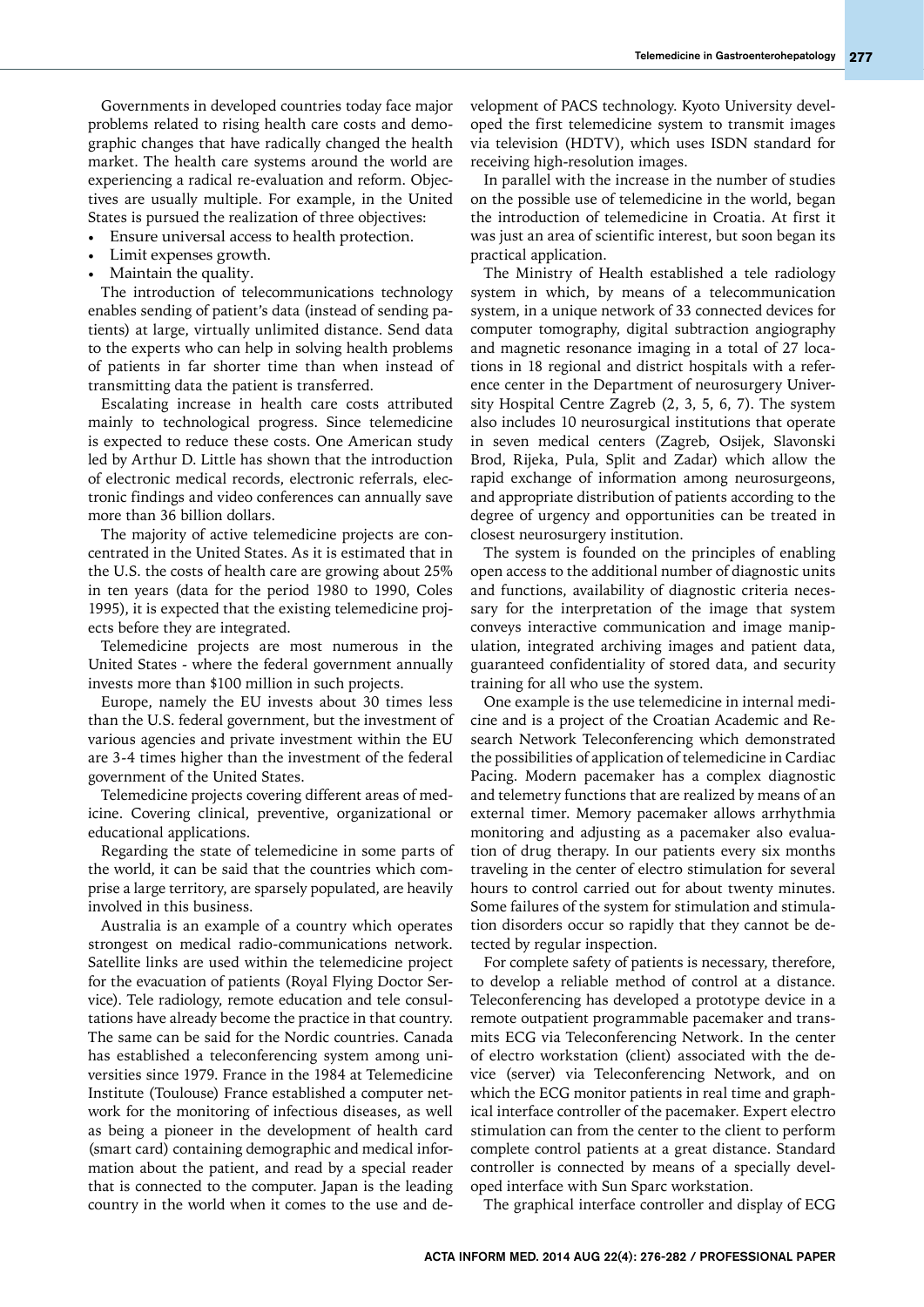Governments in developed countries today face major problems related to rising health care costs and demographic changes that have radically changed the health market. The health care systems around the world are experiencing a radical re-evaluation and reform. Objectives are usually multiple. For example, in the United States is pursued the realization of three objectives:

- Ensure universal access to health protection.
- Limit expenses growth.
- Maintain the quality.

The introduction of telecommunications technology enables sending of patient's data (instead of sending patients) at large, virtually unlimited distance. Send data to the experts who can help in solving health problems of patients in far shorter time than when instead of transmitting data the patient is transferred.

Escalating increase in health care costs attributed mainly to technological progress. Since telemedicine is expected to reduce these costs. One American study led by Arthur D. Little has shown that the introduction of electronic medical records, electronic referrals, electronic findings and video conferences can annually save more than 36 billion dollars.

The majority of active telemedicine projects are concentrated in the United States. As it is estimated that in the U.S. the costs of health care are growing about 25% in ten years (data for the period 1980 to 1990, Coles 1995), it is expected that the existing telemedicine projects before they are integrated.

Telemedicine projects are most numerous in the United States - where the federal government annually invests more than \$100 million in such projects.

Europe, namely the EU invests about 30 times less than the U.S. federal government, but the investment of various agencies and private investment within the EU are 3-4 times higher than the investment of the federal government of the United States.

Telemedicine projects covering different areas of medicine. Covering clinical, preventive, organizational or educational applications.

Regarding the state of telemedicine in some parts of the world, it can be said that the countries which comprise a large territory, are sparsely populated, are heavily involved in this business.

Australia is an example of a country which operates strongest on medical radio-communications network. Satellite links are used within the telemedicine project for the evacuation of patients (Royal Flying Doctor Service). Tele radiology, remote education and tele consultations have already become the practice in that country. The same can be said for the Nordic countries. Canada has established a teleconferencing system among universities since 1979. France in the 1984 at Telemedicine Institute (Toulouse) France established a computer network for the monitoring of infectious diseases, as well as being a pioneer in the development of health card (smart card) containing demographic and medical information about the patient, and read by a special reader that is connected to the computer. Japan is the leading country in the world when it comes to the use and development of PACS technology. Kyoto University developed the first telemedicine system to transmit images via television (HDTV), which uses ISDN standard for receiving high-resolution images.

In parallel with the increase in the number of studies on the possible use of telemedicine in the world, began the introduction of telemedicine in Croatia. At first it was just an area of scientific interest, but soon began its practical application.

The Ministry of Health established a tele radiology system in which, by means of a telecommunication system, in a unique network of 33 connected devices for computer tomography, digital subtraction angiography and magnetic resonance imaging in a total of 27 locations in 18 regional and district hospitals with a reference center in the Department of neurosurgery University Hospital Centre Zagreb (2, 3, 5, 6, 7). The system also includes 10 neurosurgical institutions that operate in seven medical centers (Zagreb, Osijek, Slavonski Brod, Rijeka, Pula, Split and Zadar) which allow the rapid exchange of information among neurosurgeons, and appropriate distribution of patients according to the degree of urgency and opportunities can be treated in closest neurosurgery institution.

The system is founded on the principles of enabling open access to the additional number of diagnostic units and functions, availability of diagnostic criteria necessary for the interpretation of the image that system conveys interactive communication and image manipulation, integrated archiving images and patient data, guaranteed confidentiality of stored data, and security training for all who use the system.

One example is the use telemedicine in internal medicine and is a project of the Croatian Academic and Research Network Teleconferencing which demonstrated the possibilities of application of telemedicine in Cardiac Pacing. Modern pacemaker has a complex diagnostic and telemetry functions that are realized by means of an external timer. Memory pacemaker allows arrhythmia monitoring and adjusting as a pacemaker also evaluation of drug therapy. In our patients every six months traveling in the center of electro stimulation for several hours to control carried out for about twenty minutes. Some failures of the system for stimulation and stimulation disorders occur so rapidly that they cannot be detected by regular inspection.

For complete safety of patients is necessary, therefore, to develop a reliable method of control at a distance. Teleconferencing has developed a prototype device in a remote outpatient programmable pacemaker and transmits ECG via Teleconferencing Network. In the center of electro workstation (client) associated with the device (server) via Teleconferencing Network, and on which the ECG monitor patients in real time and graphical interface controller of the pacemaker. Expert electro stimulation can from the center to the client to perform complete control patients at a great distance. Standard controller is connected by means of a specially developed interface with Sun Sparc workstation.

The graphical interface controller and display of ECG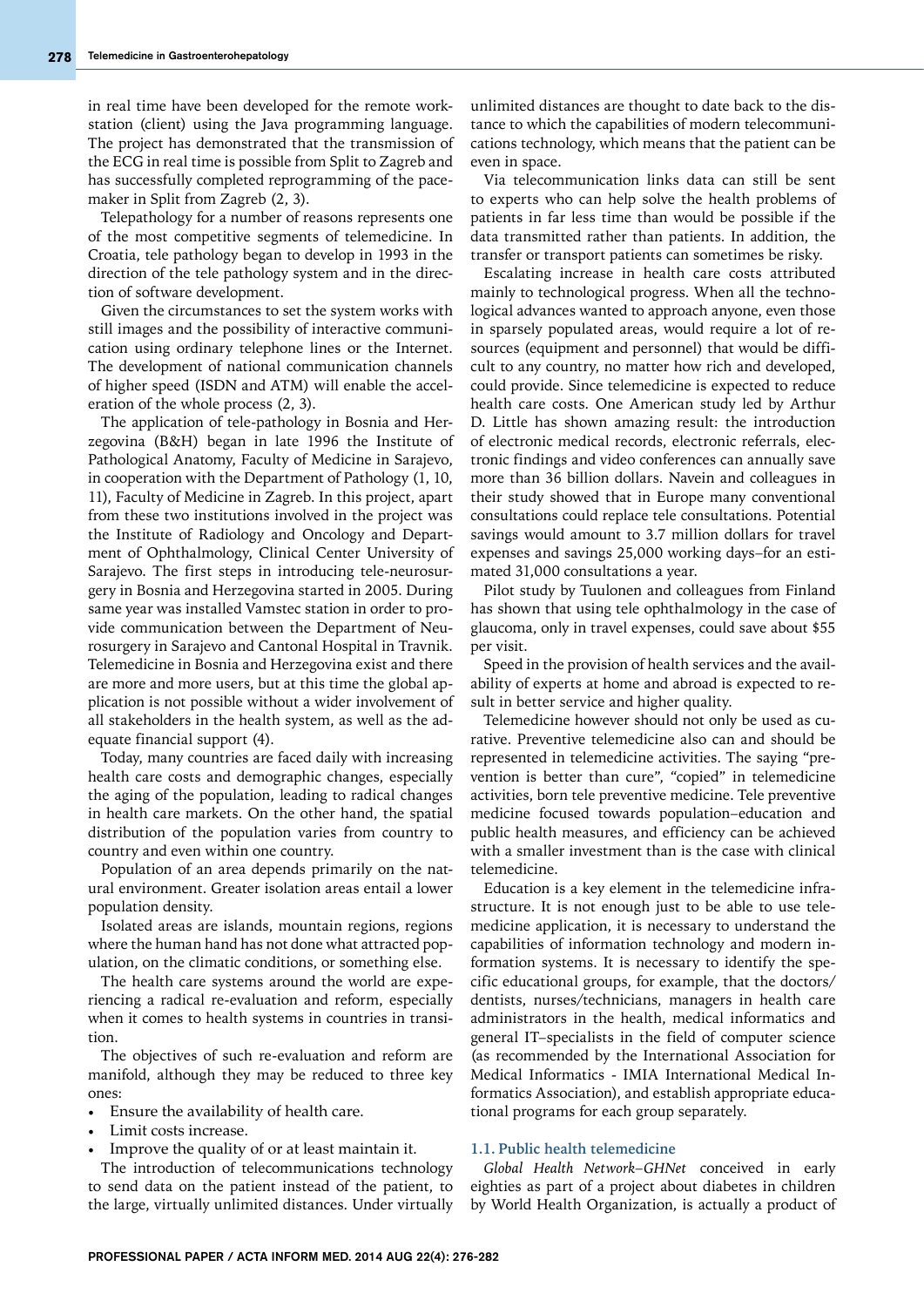in real time have been developed for the remote workstation (client) using the Java programming language. The project has demonstrated that the transmission of the ECG in real time is possible from Split to Zagreb and has successfully completed reprogramming of the pacemaker in Split from Zagreb (2, 3).

Telepathology for a number of reasons represents one of the most competitive segments of telemedicine. In Croatia, tele pathology began to develop in 1993 in the direction of the tele pathology system and in the direction of software development.

Given the circumstances to set the system works with still images and the possibility of interactive communication using ordinary telephone lines or the Internet. The development of national communication channels of higher speed (ISDN and ATM) will enable the acceleration of the whole process (2, 3).

The application of tele-pathology in Bosnia and Herzegovina (B&H) began in late 1996 the Institute of Pathological Anatomy, Faculty of Medicine in Sarajevo, in cooperation with the Department of Pathology (1, 10, 11), Faculty of Medicine in Zagreb. In this project, apart from these two institutions involved in the project was the Institute of Radiology and Oncology and Department of Ophthalmology, Clinical Center University of Sarajevo. The first steps in introducing tele-neurosurgery in Bosnia and Herzegovina started in 2005. During same year was installed Vamstec station in order to provide communication between the Department of Neurosurgery in Sarajevo and Cantonal Hospital in Travnik. Telemedicine in Bosnia and Herzegovina exist and there are more and more users, but at this time the global application is not possible without a wider involvement of all stakeholders in the health system, as well as the adequate financial support (4).

Today, many countries are faced daily with increasing health care costs and demographic changes, especially the aging of the population, leading to radical changes in health care markets. On the other hand, the spatial distribution of the population varies from country to country and even within one country.

Population of an area depends primarily on the natural environment. Greater isolation areas entail a lower population density.

Isolated areas are islands, mountain regions, regions where the human hand has not done what attracted population, on the climatic conditions, or something else.

The health care systems around the world are experiencing a radical re-evaluation and reform, especially when it comes to health systems in countries in transition.

The objectives of such re-evaluation and reform are manifold, although they may be reduced to three key ones:

- Ensure the availability of health care.
- Limit costs increase.
- Improve the quality of or at least maintain it.

The introduction of telecommunications technology to send data on the patient instead of the patient, to the large, virtually unlimited distances. Under virtually

unlimited distances are thought to date back to the distance to which the capabilities of modern telecommunications technology, which means that the patient can be even in space.

Via telecommunication links data can still be sent to experts who can help solve the health problems of patients in far less time than would be possible if the data transmitted rather than patients. In addition, the transfer or transport patients can sometimes be risky.

Escalating increase in health care costs attributed mainly to technological progress. When all the technological advances wanted to approach anyone, even those in sparsely populated areas, would require a lot of resources (equipment and personnel) that would be difficult to any country, no matter how rich and developed, could provide. Since telemedicine is expected to reduce health care costs. One American study led by Arthur D. Little has shown amazing result: the introduction of electronic medical records, electronic referrals, electronic findings and video conferences can annually save more than 36 billion dollars. Navein and colleagues in their study showed that in Europe many conventional consultations could replace tele consultations. Potential savings would amount to 3.7 million dollars for travel expenses and savings 25,000 working days–for an estimated 31,000 consultations a year.

Pilot study by Tuulonen and colleagues from Finland has shown that using tele ophthalmology in the case of glaucoma, only in travel expenses, could save about \$55 per visit.

Speed in the provision of health services and the availability of experts at home and abroad is expected to result in better service and higher quality.

Telemedicine however should not only be used as curative. Preventive telemedicine also can and should be represented in telemedicine activities. The saying "prevention is better than cure", "copied" in telemedicine activities, born tele preventive medicine. Tele preventive medicine focused towards population–education and public health measures, and efficiency can be achieved with a smaller investment than is the case with clinical telemedicine.

Education is a key element in the telemedicine infrastructure. It is not enough just to be able to use telemedicine application, it is necessary to understand the capabilities of information technology and modern information systems. It is necessary to identify the specific educational groups, for example, that the doctors/ dentists, nurses/technicians, managers in health care administrators in the health, medical informatics and general IT–specialists in the field of computer science (as recommended by the International Association for Medical Informatics - IMIA International Medical Informatics Association), and establish appropriate educational programs for each group separately.

#### **1.1. Public health telemedicine**

*Global Health Network*–*GHNet* conceived in early eighties as part of a project about diabetes in children by World Health Organization, is actually a product of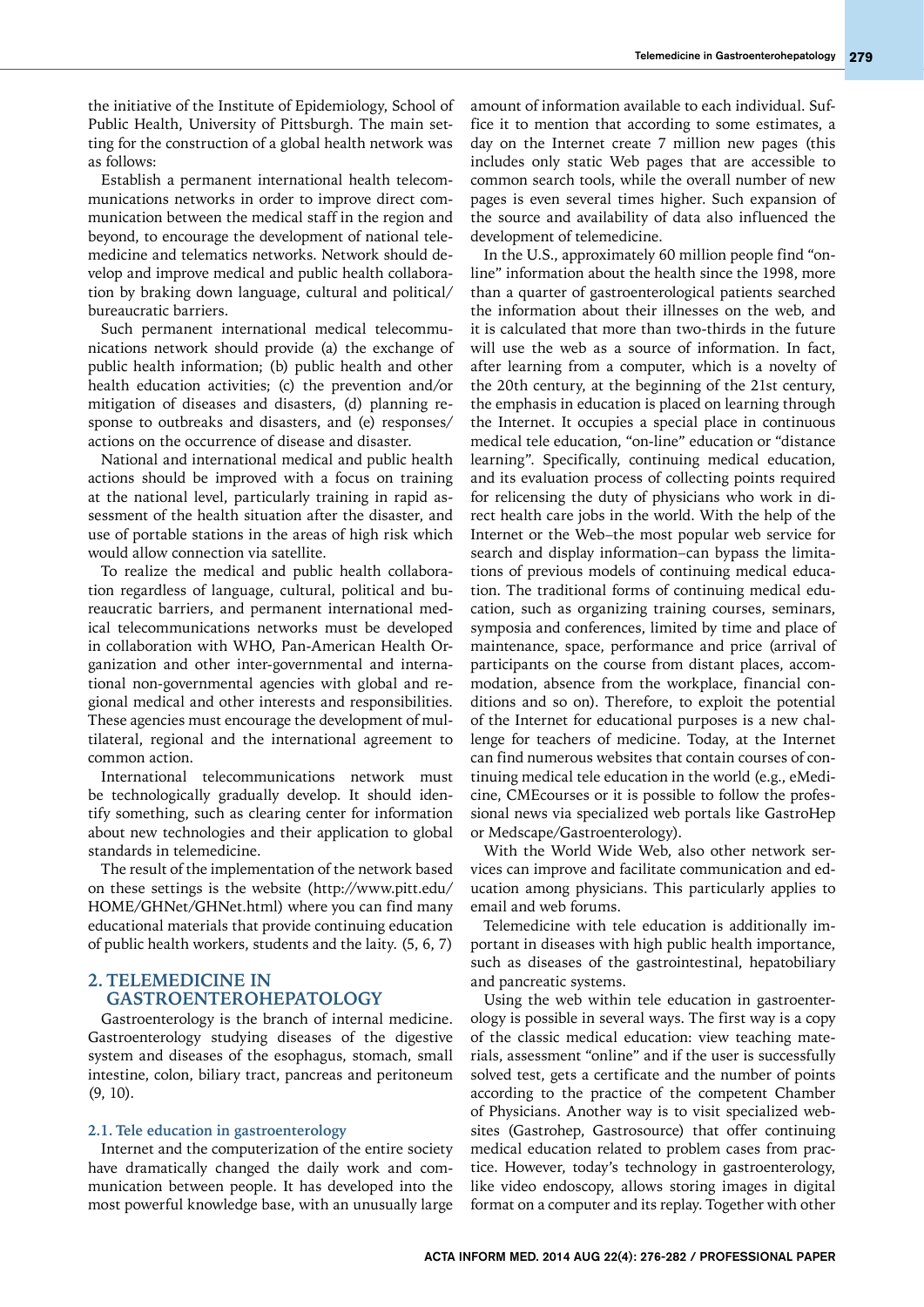the initiative of the Institute of Epidemiology, School of Public Health, University of Pittsburgh. The main setting for the construction of a global health network was as follows:

Establish a permanent international health telecommunications networks in order to improve direct communication between the medical staff in the region and beyond, to encourage the development of national telemedicine and telematics networks. Network should develop and improve medical and public health collaboration by braking down language, cultural and political/ bureaucratic barriers.

Such permanent international medical telecommunications network should provide (a) the exchange of public health information; (b) public health and other health education activities; (c) the prevention and/or mitigation of diseases and disasters, (d) planning response to outbreaks and disasters, and (e) responses/ actions on the occurrence of disease and disaster.

National and international medical and public health actions should be improved with a focus on training at the national level, particularly training in rapid assessment of the health situation after the disaster, and use of portable stations in the areas of high risk which would allow connection via satellite.

To realize the medical and public health collaboration regardless of language, cultural, political and bureaucratic barriers, and permanent international medical telecommunications networks must be developed in collaboration with WHO, Pan-American Health Organization and other inter-governmental and international non-governmental agencies with global and regional medical and other interests and responsibilities. These agencies must encourage the development of multilateral, regional and the international agreement to common action.

International telecommunications network must be technologically gradually develop. It should identify something, such as clearing center for information about new technologies and their application to global standards in telemedicine.

The result of the implementation of the network based on these settings is the website (http://www.pitt.edu/ HOME/GHNet/GHNet.html) where you can find many educational materials that provide continuing education of public health workers, students and the laity. (5, 6, 7)

## **2. TELEMEDICINE IN GASTROENTEROHEPATOLOGY**

Gastroenterology is the branch of internal medicine. Gastroenterology studying diseases of the digestive system and diseases of the esophagus, stomach, small intestine, colon, biliary tract, pancreas and peritoneum (9, 10).

#### **2.1. Tele education in gastroenterology**

Internet and the computerization of the entire society have dramatically changed the daily work and communication between people. It has developed into the most powerful knowledge base, with an unusually large amount of information available to each individual. Suffice it to mention that according to some estimates, a day on the Internet create 7 million new pages (this includes only static Web pages that are accessible to common search tools, while the overall number of new pages is even several times higher. Such expansion of the source and availability of data also influenced the development of telemedicine.

In the U.S., approximately 60 million people find "online" information about the health since the 1998, more than a quarter of gastroenterological patients searched the information about their illnesses on the web, and it is calculated that more than two-thirds in the future will use the web as a source of information. In fact, after learning from a computer, which is a novelty of the 20th century, at the beginning of the 21st century, the emphasis in education is placed on learning through the Internet. It occupies a special place in continuous medical tele education, "on-line" education or "distance learning". Specifically, continuing medical education, and its evaluation process of collecting points required for relicensing the duty of physicians who work in direct health care jobs in the world. With the help of the Internet or the Web–the most popular web service for search and display information–can bypass the limitations of previous models of continuing medical education. The traditional forms of continuing medical education, such as organizing training courses, seminars, symposia and conferences, limited by time and place of maintenance, space, performance and price (arrival of participants on the course from distant places, accommodation, absence from the workplace, financial conditions and so on). Therefore, to exploit the potential of the Internet for educational purposes is a new challenge for teachers of medicine. Today, at the Internet can find numerous websites that contain courses of continuing medical tele education in the world (e.g., eMedicine, CMEcourses or it is possible to follow the professional news via specialized web portals like GastroHep or Medscape/Gastroenterology).

With the World Wide Web, also other network services can improve and facilitate communication and education among physicians. This particularly applies to email and web forums.

Telemedicine with tele education is additionally important in diseases with high public health importance, such as diseases of the gastrointestinal, hepatobiliary and pancreatic systems.

Using the web within tele education in gastroenterology is possible in several ways. The first way is a copy of the classic medical education: view teaching materials, assessment "online" and if the user is successfully solved test, gets a certificate and the number of points according to the practice of the competent Chamber of Physicians. Another way is to visit specialized websites (Gastrohep, Gastrosource) that offer continuing medical education related to problem cases from practice. However, today's technology in gastroenterology, like video endoscopy, allows storing images in digital format on a computer and its replay. Together with other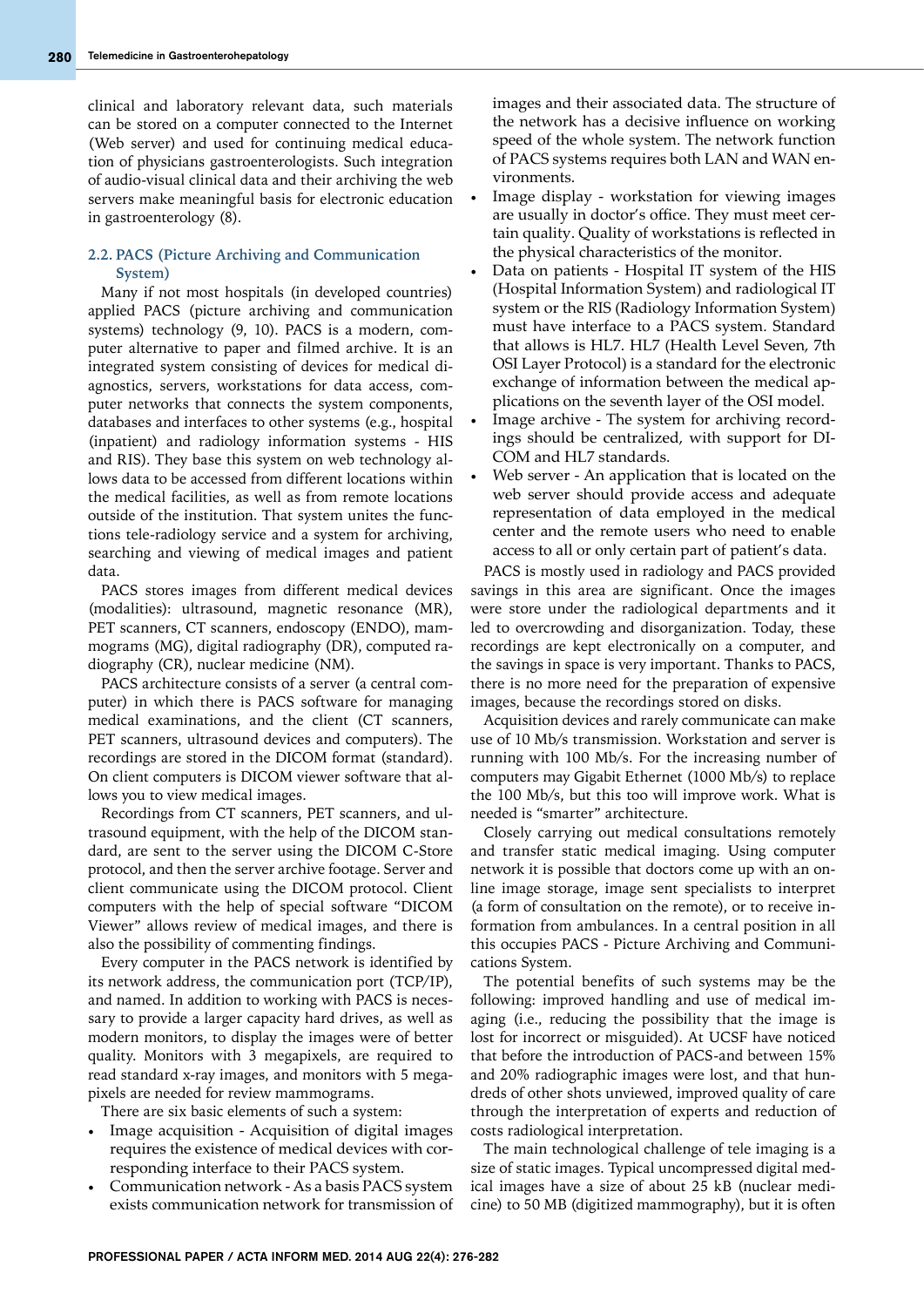clinical and laboratory relevant data, such materials can be stored on a computer connected to the Internet (Web server) and used for continuing medical education of physicians gastroenterologists. Such integration of audio-visual clinical data and their archiving the web servers make meaningful basis for electronic education in gastroenterology (8).

### **2.2. PACS (Picture Archiving and Communication System)**

Many if not most hospitals (in developed countries) applied PACS (picture archiving and communication systems) technology (9, 10). PACS is a modern, computer alternative to paper and filmed archive. It is an integrated system consisting of devices for medical diagnostics, servers, workstations for data access, computer networks that connects the system components, databases and interfaces to other systems (e.g., hospital (inpatient) and radiology information systems - HIS and RIS). They base this system on web technology allows data to be accessed from different locations within the medical facilities, as well as from remote locations outside of the institution. That system unites the functions tele-radiology service and a system for archiving, searching and viewing of medical images and patient data.

PACS stores images from different medical devices (modalities): ultrasound, magnetic resonance (MR), PET scanners, CT scanners, endoscopy (ENDO), mammograms (MG), digital radiography (DR), computed radiography (CR), nuclear medicine (NM).

PACS architecture consists of a server (a central computer) in which there is PACS software for managing medical examinations, and the client (CT scanners, PET scanners, ultrasound devices and computers). The recordings are stored in the DICOM format (standard). On client computers is DICOM viewer software that allows you to view medical images.

Recordings from CT scanners, PET scanners, and ultrasound equipment, with the help of the DICOM standard, are sent to the server using the DICOM C-Store protocol, and then the server archive footage. Server and client communicate using the DICOM protocol. Client computers with the help of special software "DICOM Viewer" allows review of medical images, and there is also the possibility of commenting findings.

Every computer in the PACS network is identified by its network address, the communication port (TCP/IP), and named. In addition to working with PACS is necessary to provide a larger capacity hard drives, as well as modern monitors, to display the images were of better quality. Monitors with 3 megapixels, are required to read standard x-ray images, and monitors with 5 megapixels are needed for review mammograms.

There are six basic elements of such a system:

- Image acquisition Acquisition of digital images requires the existence of medical devices with corresponding interface to their PACS system.
- Communication network As a basis PACS system exists communication network for transmission of

images and their associated data. The structure of the network has a decisive influence on working speed of the whole system. The network function of PACS systems requires both LAN and WAN environments.

- Image display workstation for viewing images are usually in doctor's office. They must meet certain quality. Quality of workstations is reflected in the physical characteristics of the monitor.
- Data on patients Hospital IT system of the HIS (Hospital Information System) and radiological IT system or the RIS (Radiology Information System) must have interface to a PACS system. Standard that allows is HL7. HL7 (Health Level Seven, 7th OSI Layer Protocol) is a standard for the electronic exchange of information between the medical applications on the seventh layer of the OSI model.
- Image archive The system for archiving recordings should be centralized, with support for DI-COM and HL7 standards.
- Web server An application that is located on the web server should provide access and adequate representation of data employed in the medical center and the remote users who need to enable access to all or only certain part of patient's data.

PACS is mostly used in radiology and PACS provided savings in this area are significant. Once the images were store under the radiological departments and it led to overcrowding and disorganization. Today, these recordings are kept electronically on a computer, and the savings in space is very important. Thanks to PACS, there is no more need for the preparation of expensive images, because the recordings stored on disks.

Acquisition devices and rarely communicate can make use of 10 Mb/s transmission. Workstation and server is running with 100 Mb/s. For the increasing number of computers may Gigabit Ethernet (1000 Mb/s) to replace the 100 Mb/s, but this too will improve work. What is needed is "smarter" architecture.

Closely carrying out medical consultations remotely and transfer static medical imaging. Using computer network it is possible that doctors come up with an online image storage, image sent specialists to interpret (a form of consultation on the remote), or to receive information from ambulances. In a central position in all this occupies PACS - Picture Archiving and Communications System.

The potential benefits of such systems may be the following: improved handling and use of medical imaging (i.e., reducing the possibility that the image is lost for incorrect or misguided). At UCSF have noticed that before the introduction of PACS-and between 15% and 20% radiographic images were lost, and that hundreds of other shots unviewed, improved quality of care through the interpretation of experts and reduction of costs radiological interpretation.

The main technological challenge of tele imaging is a size of static images. Typical uncompressed digital medical images have a size of about 25 kB (nuclear medicine) to 50 MB (digitized mammography), but it is often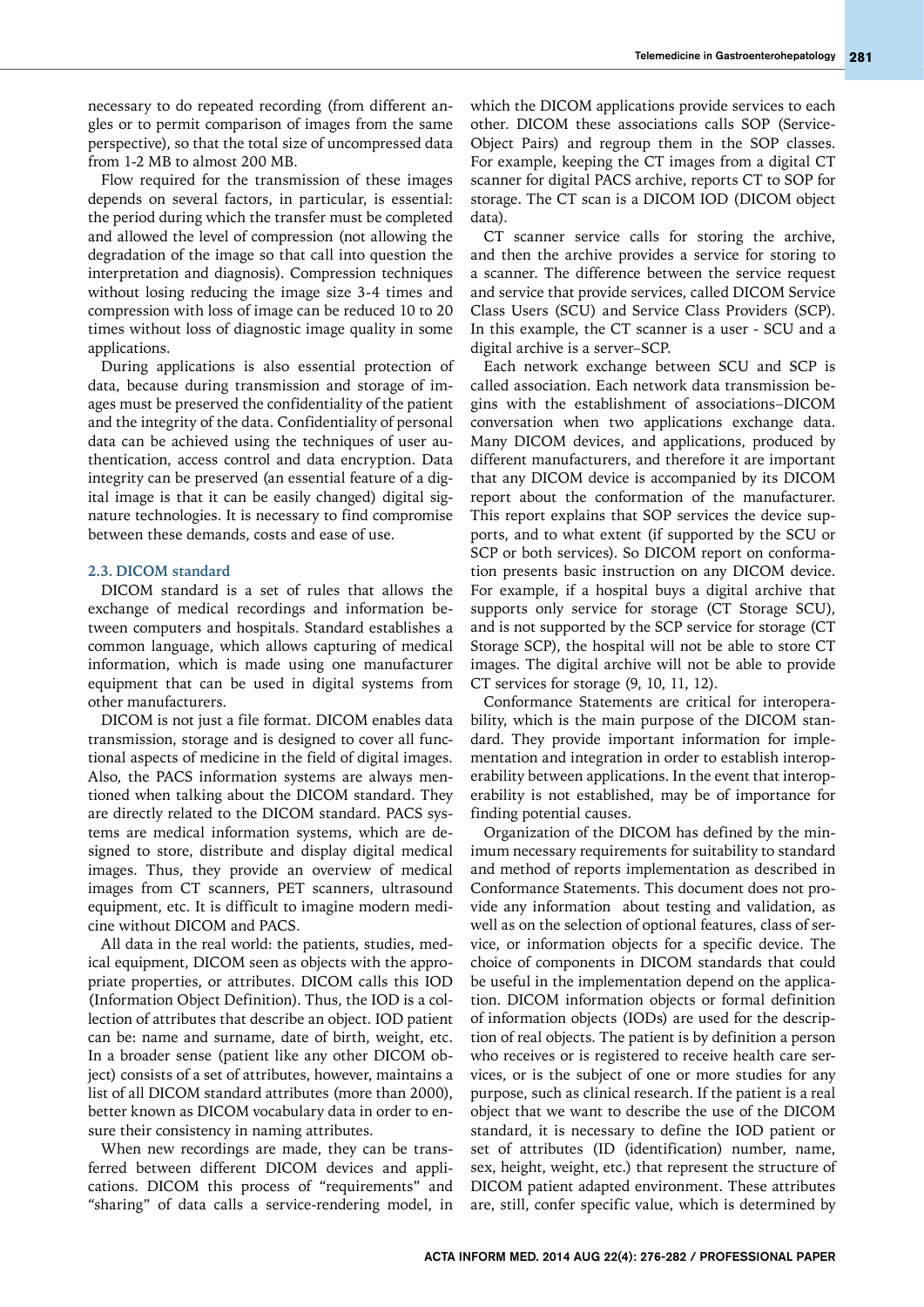necessary to do repeated recording (from different angles or to permit comparison of images from the same perspective), so that the total size of uncompressed data from 1-2 MB to almost 200 MB.

Flow required for the transmission of these images depends on several factors, in particular, is essential: the period during which the transfer must be completed and allowed the level of compression (not allowing the degradation of the image so that call into question the interpretation and diagnosis). Compression techniques without losing reducing the image size 3-4 times and compression with loss of image can be reduced 10 to 20 times without loss of diagnostic image quality in some applications.

During applications is also essential protection of data, because during transmission and storage of images must be preserved the confidentiality of the patient and the integrity of the data. Confidentiality of personal data can be achieved using the techniques of user authentication, access control and data encryption. Data integrity can be preserved (an essential feature of a digital image is that it can be easily changed) digital signature technologies. It is necessary to find compromise between these demands, costs and ease of use.

#### **2.3. DICOM standard**

DICOM standard is a set of rules that allows the exchange of medical recordings and information between computers and hospitals. Standard establishes a common language, which allows capturing of medical information, which is made using one manufacturer equipment that can be used in digital systems from other manufacturers.

DICOM is not just a file format. DICOM enables data transmission, storage and is designed to cover all functional aspects of medicine in the field of digital images. Also, the PACS information systems are always mentioned when talking about the DICOM standard. They are directly related to the DICOM standard. PACS systems are medical information systems, which are designed to store, distribute and display digital medical images. Thus, they provide an overview of medical images from CT scanners, PET scanners, ultrasound equipment, etc. It is difficult to imagine modern medicine without DICOM and PACS.

All data in the real world: the patients, studies, medical equipment, DICOM seen as objects with the appropriate properties, or attributes. DICOM calls this IOD (Information Object Definition). Thus, the IOD is a collection of attributes that describe an object. IOD patient can be: name and surname, date of birth, weight, etc. In a broader sense (patient like any other DICOM object) consists of a set of attributes, however, maintains a list of all DICOM standard attributes (more than 2000), better known as DICOM vocabulary data in order to ensure their consistency in naming attributes.

When new recordings are made, they can be transferred between different DICOM devices and applications. DICOM this process of "requirements" and "sharing" of data calls a service-rendering model, in

which the DICOM applications provide services to each other. DICOM these associations calls SOP (Service-Object Pairs) and regroup them in the SOP classes. For example, keeping the CT images from a digital CT scanner for digital PACS archive, reports CT to SOP for storage. The CT scan is a DICOM IOD (DICOM object data).

CT scanner service calls for storing the archive, and then the archive provides a service for storing to a scanner. The difference between the service request and service that provide services, called DICOM Service Class Users (SCU) and Service Class Providers (SCP). In this example, the CT scanner is a user - SCU and a digital archive is a server–SCP.

Each network exchange between SCU and SCP is called association. Each network data transmission begins with the establishment of associations–DICOM conversation when two applications exchange data. Many DICOM devices, and applications, produced by different manufacturers, and therefore it are important that any DICOM device is accompanied by its DICOM report about the conformation of the manufacturer. This report explains that SOP services the device supports, and to what extent (if supported by the SCU or SCP or both services). So DICOM report on conformation presents basic instruction on any DICOM device. For example, if a hospital buys a digital archive that supports only service for storage (CT Storage SCU), and is not supported by the SCP service for storage (CT Storage SCP), the hospital will not be able to store CT images. The digital archive will not be able to provide CT services for storage (9, 10, 11, 12).

Conformance Statements are critical for interoperability, which is the main purpose of the DICOM standard. They provide important information for implementation and integration in order to establish interoperability between applications. In the event that interoperability is not established, may be of importance for finding potential causes.

Organization of the DICOM has defined by the minimum necessary requirements for suitability to standard and method of reports implementation as described in Conformance Statements. This document does not provide any information about testing and validation, as well as on the selection of optional features, class of service, or information objects for a specific device. The choice of components in DICOM standards that could be useful in the implementation depend on the application. DICOM information objects or formal definition of information objects (IODs) are used for the description of real objects. The patient is by definition a person who receives or is registered to receive health care services, or is the subject of one or more studies for any purpose, such as clinical research. If the patient is a real object that we want to describe the use of the DICOM standard, it is necessary to define the IOD patient or set of attributes (ID (identification) number, name, sex, height, weight, etc.) that represent the structure of DICOM patient adapted environment. These attributes are, still, confer specific value, which is determined by